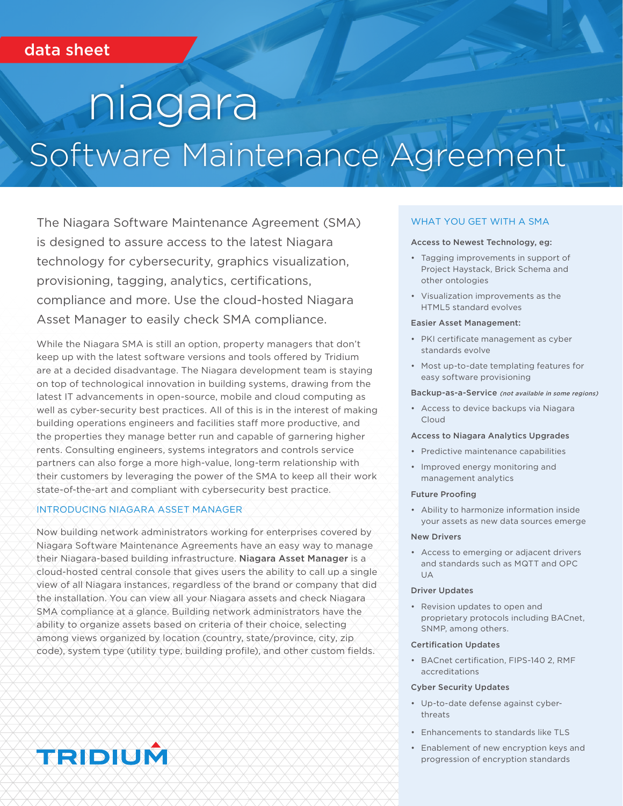# niagara

## Software Maintenance Agreement

The Niagara Software Maintenance Agreement (SMA) is designed to assure access to the latest Niagara technology for cybersecurity, graphics visualization, provisioning, tagging, analytics, certifications, compliance and more. Use the cloud-hosted Niagara Asset Manager to easily check SMA compliance.

While the Niagara SMA is still an option, property managers that don't keep up with the latest software versions and tools offered by Tridium are at a decided disadvantage. The Niagara development team is staying on top of technological innovation in building systems, drawing from the latest IT advancements in open-source, mobile and cloud computing as well as cyber-security best practices. All of this is in the interest of making building operations engineers and facilities staff more productive, and the properties they manage better run and capable of garnering higher rents. Consulting engineers, systems integrators and controls service partners can also forge a more high-value, long-term relationship with their customers by leveraging the power of the SMA to keep all their work state-of-the-art and compliant with cybersecurity best practice.

#### INTRODUCING NIAGARA ASSET MANAGER

Now building network administrators working for enterprises covered by Niagara Software Maintenance Agreements have an easy way to manage their Niagara-based building infrastructure. Niagara Asset Manager is a cloud-hosted central console that gives users the ability to call up a single view of all Niagara instances, regardless of the brand or company that did the installation. You can view all your Niagara assets and check Niagara SMA compliance at a glance. Building network administrators have the ability to organize assets based on criteria of their choice, selecting among views organized by location (country, state/province, city, zip code), system type (utility type, building profile), and other custom fields.

#### WHAT YOU GET WITH A SMA

#### Access to Newest Technology, eg:

- Tagging improvements in support of Project Haystack, Brick Schema and other ontologies
- Visualization improvements as the HTML5 standard evolves

#### Easier Asset Management:

- PKI certificate management as cyber standards evolve
- Most up-to-date templating features for easy software provisioning

#### Backup-as-a-Service (not available in some regions)

• Access to device backups via Niagara Cloud

#### Access to Niagara Analytics Upgrades

- Predictive maintenance capabilities
- Improved energy monitoring and management analytics

#### Future Proofing

• Ability to harmonize information inside your assets as new data sources emerge

#### New Drivers

• Access to emerging or adjacent drivers and standards such as MQTT and OPC UA

#### Driver Updates

• Revision updates to open and proprietary protocols including BACnet, SNMP, among others.

#### Certification Updates

• BACnet certification, FIPS-140 2, RMF accreditations

#### Cyber Security Updates

- Up-to-date defense against cyberthreats
- Enhancements to standards like TLS
- Enablement of new encryption keys and progression of encryption standards

### TRIDIUM